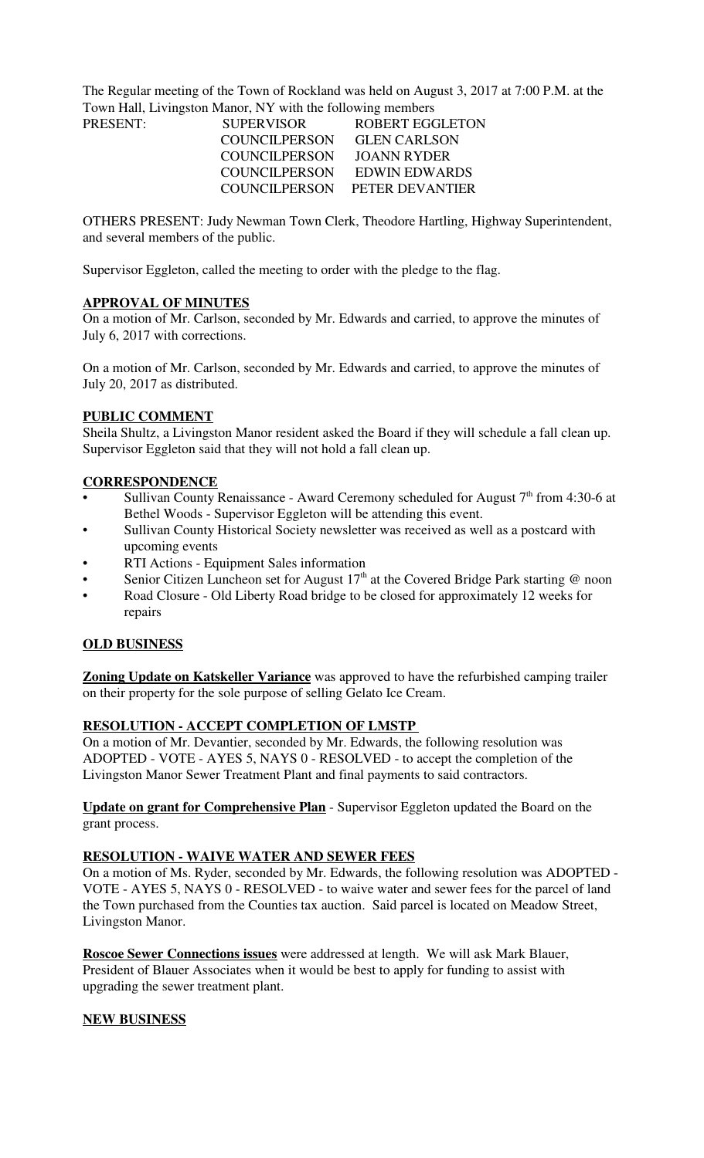The Regular meeting of the Town of Rockland was held on August 3, 2017 at 7:00 P.M. at the Town Hall, Livingston Manor, NY with the following members

| <b>PRESENT:</b> | <b>SUPERVISOR</b>    | <b>ROBERT EGGLETON</b>        |
|-----------------|----------------------|-------------------------------|
|                 | COUNCILPERSON        | <b>GLEN CARLSON</b>           |
|                 | <b>COUNCILPERSON</b> | JOANN RYDER                   |
|                 | COUNCILPERSON        | EDWIN EDWARDS                 |
|                 |                      | COUNCILPERSON PETER DEVANTIER |
|                 |                      |                               |

OTHERS PRESENT: Judy Newman Town Clerk, Theodore Hartling, Highway Superintendent, and several members of the public.

Supervisor Eggleton, called the meeting to order with the pledge to the flag.

#### **APPROVAL OF MINUTES**

On a motion of Mr. Carlson, seconded by Mr. Edwards and carried, to approve the minutes of July 6, 2017 with corrections.

On a motion of Mr. Carlson, seconded by Mr. Edwards and carried, to approve the minutes of July 20, 2017 as distributed.

## **PUBLIC COMMENT**

Sheila Shultz, a Livingston Manor resident asked the Board if they will schedule a fall clean up. Supervisor Eggleton said that they will not hold a fall clean up.

#### **CORRESPONDENCE**

- Sullivan County Renaissance Award Ceremony scheduled for August  $7<sup>th</sup>$  from 4:30-6 at Bethel Woods - Supervisor Eggleton will be attending this event.
- Sullivan County Historical Society newsletter was received as well as a postcard with upcoming events
- RTI Actions Equipment Sales information
- Senior Citizen Luncheon set for August  $17<sup>th</sup>$  at the Covered Bridge Park starting @ noon
- Road Closure Old Liberty Road bridge to be closed for approximately 12 weeks for repairs

#### **OLD BUSINESS**

**Zoning Update on Katskeller Variance** was approved to have the refurbished camping trailer on their property for the sole purpose of selling Gelato Ice Cream.

## **RESOLUTION - ACCEPT COMPLETION OF LMSTP**

On a motion of Mr. Devantier, seconded by Mr. Edwards, the following resolution was ADOPTED - VOTE - AYES 5, NAYS 0 - RESOLVED - to accept the completion of the Livingston Manor Sewer Treatment Plant and final payments to said contractors.

**Update on grant for Comprehensive Plan** - Supervisor Eggleton updated the Board on the grant process.

#### **RESOLUTION - WAIVE WATER AND SEWER FEES**

On a motion of Ms. Ryder, seconded by Mr. Edwards, the following resolution was ADOPTED - VOTE - AYES 5, NAYS 0 - RESOLVED - to waive water and sewer fees for the parcel of land the Town purchased from the Counties tax auction. Said parcel is located on Meadow Street, Livingston Manor.

**Roscoe Sewer Connections issues** were addressed at length. We will ask Mark Blauer, President of Blauer Associates when it would be best to apply for funding to assist with upgrading the sewer treatment plant.

## **NEW BUSINESS**